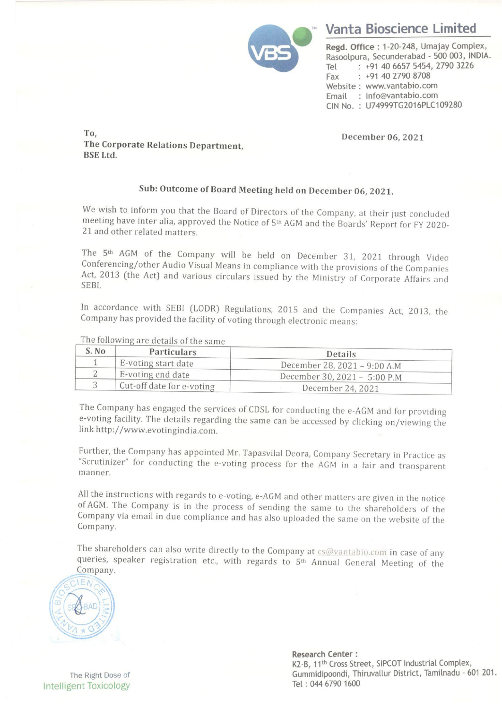

## Vanta Bioscience Limited

Regd. Office : 1-20-248, Umajay Complex, Rasoolpura, Secunderabad - 500 003, INDIA. Tel : +91 40 6657 5454, 2790 3226 Fax : +91 40 2790 8708 Website : www.vantabio.com Email : info@vantabio.com CIN No. : U74999TG2016PLC109280

## Sub: Outcome of Board Meeting held on December 06, 2021.

The 5<sup>th</sup> AGM of the Company will be held on December 31, 2021 through Video Conferencing/other Audio Visual Means in compliance with the provisions of the Companies Act, 2013 (the Act) and various circulars issued by the To,<br>
To,<br>
The Corporate Relations Department,<br>
BSE Ltd.<br>
Sub: Outcome of Board Meeti<br>
We wish to inform you that the Board of Dir<br>
meeting have inter alia, approved the Notice<br>
21 and other related matters.<br>
The 5<sup>th</sup> AGM To,<br>
The Corporate Relations Department,<br>
BSE Ltd.<br>
Sub: Outcome of Board Meeti<br>
We wish to inform you that the Board of Dir<br>
meeting have inter alia, approved the Notice<br>
21 and other related matters.<br>
The 5<sup>th</sup> AGM of t To,<br>The Corporate Relations Department,<br>BSE Ltd.<br>Sub: Outcome of Board Meeti<br>We wish to inform you that the Board of Dir<br>meeting have inter alia, approved the Notice e<br>21 and other related matters.<br>The 5<sup>th</sup> AGM of the Com To,<br>The Corporate Relations Department,<br>BSE Ltd.<br>Sub: Outcome of Board Meeti<br>We wish to inform you that the Board of Dir<br>meeting have inter alia, approved the Notice<br>21 and other related matters.<br>The 5<sup>th</sup> AGM of the Compa

|                                                                                                                                                                                                                                                                                          |                           |  | <b>Vanta Bioscience Lim</b>                                                                                                                                                                                                     |
|------------------------------------------------------------------------------------------------------------------------------------------------------------------------------------------------------------------------------------------------------------------------------------------|---------------------------|--|---------------------------------------------------------------------------------------------------------------------------------------------------------------------------------------------------------------------------------|
|                                                                                                                                                                                                                                                                                          |                           |  | Regd. Office: 1-20-248, Umajay (<br>Rasoolpura, Secunderabad - 500 0<br>$: +914066575454, 2790$<br>Tel<br>$: +914027908708$<br>Fax<br>Website: www.vantabio.com<br>: info@vantabio.com<br>Email<br>CIN No.: U74999TG2016PLC1092 |
| To,<br>December 06, 2021<br>The Corporate Relations Department,<br><b>BSE Ltd.</b>                                                                                                                                                                                                       |                           |  |                                                                                                                                                                                                                                 |
| Sub: Outcome of Board Meeting held on December 06, 2021.                                                                                                                                                                                                                                 |                           |  |                                                                                                                                                                                                                                 |
| We wish to inform you that the Board of Directors of the Company, at their just concluded<br>meeting have inter alia, approved the Notice of 5 <sup>th</sup> AGM and the Boards' Report for FY 2020-<br>21 and other related matters.                                                    |                           |  |                                                                                                                                                                                                                                 |
| The 5 <sup>th</sup> AGM of the Company will be held on December 31, 2021 through Video<br>Conferencing/other Audio Visual Means in compliance with the provisions of the Companies<br>Act, 2013 (the Act) and various circulars issued by the Ministry of Corporate Affairs and<br>SEBI. |                           |  |                                                                                                                                                                                                                                 |
| In accordance with SEBI (LODR) Regulations, 2015 and the Companies Act, 2013, the<br>Company has provided the facility of voting through electronic means:                                                                                                                               |                           |  |                                                                                                                                                                                                                                 |
| The following are details of the same                                                                                                                                                                                                                                                    |                           |  |                                                                                                                                                                                                                                 |
| S. No                                                                                                                                                                                                                                                                                    | Particulars               |  | Details                                                                                                                                                                                                                         |
| $\mathbf{1}$<br>$\overline{c}$                                                                                                                                                                                                                                                           | E-voting start date       |  | December 28, 2021 - 9:00 A.M                                                                                                                                                                                                    |
| 3                                                                                                                                                                                                                                                                                        | E-voting end date         |  | December 30, 2021 - 5:00 P.M                                                                                                                                                                                                    |
|                                                                                                                                                                                                                                                                                          | Cut-off date for e-voting |  | December 24, 2021                                                                                                                                                                                                               |

The Company has engaged the services of CDSL for conducting the e-AGM and for providing e-voting facility. The details regarding the same can be accessed by clicking on/viewing the link http://www.evotingindia.com.

Further, the Company has appointed Mr. Tapasvilal Deora, Company Secretary in Practice as "Scrutinizer" for conducting the e-voting process for the AGM in a fair and transparent manner.

All the instructions with regards to e-voting, e-AGM and other matters are given in the notice of AGM. The Company is in the process of sending the same to the shareholders of the Company via email in due compliance and ha

The shareholders can also write directly to the Company at  $cs@vantabio.com$  in case of any queries, speaker registration etc., with regards to  $5<sup>th</sup>$  Annual General Meeting of the Company.



The Right Dose of<br>Intelligent Toxicology

Research Center : K2-B, 11<sup>th</sup> Cross Street, SIPCOT Industrial Complex, Gummidipoondi, Thiruvallur District, Tamilnadu - 601 201.<br>Tel : 044 6790 1600